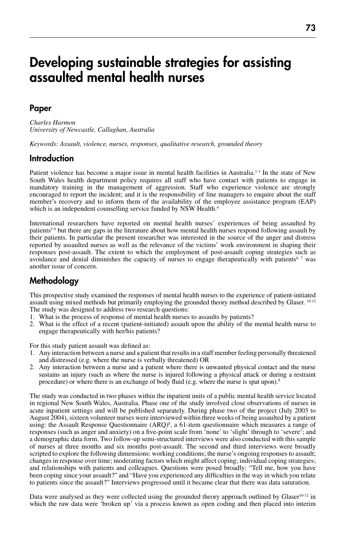# Developing sustainable strategies for assisting assaulted mental health nurses

#### Paper

*Charles Harmon University of Newcastle, Callaghan, Australia*

*Keywords: Assault, violence, nurses, responses, qualitative research, grounded theory*

#### **Introduction**

Patient violence has become a major issue in mental health facilities in Australia.<sup>1-3</sup> In the state of New South Wales health department policy requires all staff who have contact with patients to engage in mandatory training in the management of aggression. Staff who experience violence are strongly encouraged to report the incident; and it is the responsibility of line managers to enquire about the staff member's recovery and to inform them of the availability of the employee assistance program (EAP) which is an independent counselling service funded by NSW Health.<sup>4</sup>

International researchers have reported on mental health nurses' experiences of being assaulted by patients5-9 but there are gaps in the literature about how mental health nurses respond following assault by their patients. In particular the present researcher was interested in the source of the anger and distress reported by assaulted nurses as well as the relevance of the victims' work environment in shaping their responses post-assault. The extent to which the employment of post-assault coping strategies such as avoidance and denial diminishes the capacity of nurses to engage therapeutically with patients<sup>6,7</sup> was another issue of concern.

## **Methodology**

This prospective study examined the responses of mental health nurses to the experience of patient-initiated assault using mixed methods but primarily employing the grounded theory method described by Glaser. 10-12 The study was designed to address two research questions:

- 1. What is the process of response of mental health nurses to assaults by patients?
- 2. What is the effect of a recent (patient-initiated) assault upon the ability of the mental health nurse to engage therapeutically with her/his patients?

For this study patient assault was defined as:

- 1. Any interaction between a nurse and a patient that results in a staff member feeling personally threatened and distressed (e.g. where the nurse is verbally threatened) OR
- 2. Any interaction between a nurse and a patient where there is unwanted physical contact and the nurse sustains an injury (such as where the nurse is injured following a physical attack or during a restraint procedure) or where there is an exchange of body fluid (e.g. where the nurse is spat upon).<sup>8</sup>

The study was conducted in two phases within the inpatient units of a public mental health service located in regional New South Wales, Australia. Phase one of the study involved close observations of nurses in acute inpatient settings and will be published separately. During phase two of the project (July 2003 to August 2004), sixteen volunteer nurses were interviewed within three weeks of being assaulted by a patient using: the Assault Response Questionnaire (ARQ)<sup>8</sup>, a 61-item questionnaire which measures a range of responses (such as anger and anxiety) on a five-point scale from 'none' to 'slight' through to 'severe'; and a demographic data form. Two follow-up semi-structured interviews were also conducted with this sample of nurses at three months and six months post-assault. The second and third interviews were broadly scripted to explore the following dimensions: working conditions; the nurse's ongoing responses to assault; changes in response over time; moderating factors which might affect coping; individual coping strategies; and relationships with patients and colleagues. Questions were posed broadly: "Tell me, how you have been coping since your assault?" and "Have you experienced any difficulties in the way in which you relate to patients since the assault?" Interviews progressed until it became clear that there was data saturation.

Data were analysed as they were collected using the grounded theory approach outlined by Glaser<sup>10-12</sup> in which the raw data were 'broken up' via a process known as open coding and then placed into interim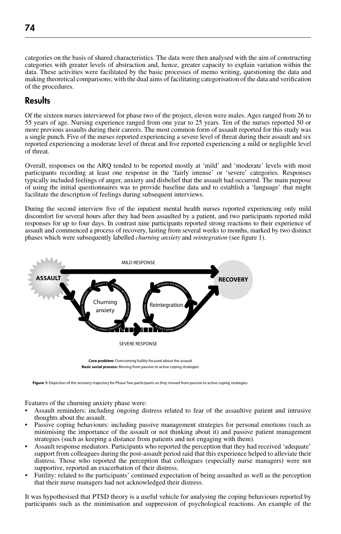categories on the basis of shared characteristics. The data were then analysed with the aim of constructing categories with greater levels of abstraction and, hence, greater capacity to explain variation within the data. These activities were facilitated by the basic processes of memo writing, questioning the data and making theoretical comparisons; with the dual aims of facilitating categorisation of the data and verification of the procedures.

## Results

Of the sixteen nurses interviewed for phase two of the project, eleven were males. Ages ranged from 26 to 55 years of age. Nursing experience ranged from one year to 25 years. Ten of the nurses reported 50 or more previous assaults during their careers. The most common form of assault reported for this study was a single punch. Five of the nurses reported experiencing a severe level of threat during their assault and six reported experiencing a moderate level of threat and five reported experiencing a mild or negligible level of threat.

Overall, responses on the ARQ tended to be reported mostly at 'mild' and 'moderate' levels with most participants recording at least one response in the 'fairly intense' or 'severe' categories. Responses typically included feelings of anger, anxiety and disbelief that the assault had occurred. The main purpose of using the initial questionnaires was to provide baseline data and to establish a 'language' that might facilitate the description of feelings during subsequent interviews.

During the second interview five of the inpatient mental health nurses reported experiencing only mild discomfort for several hours after they had been assaulted by a patient, and two participants reported mild responses for up to four days. In contrast nine participants reported strong reactions to their experience of assault and commenced a process of recovery, lasting from several weeks to months, marked by two distinct phases which were subsequently labelled *churning anxiety* and *reintegration* (see figure 1).



Figure 1: Depiction of the recovery trajectory for Phase Two participants as they moved from passive to active coping strategies.

Features of the churning anxiety phase were:

- Assault reminders: including ongoing distress related to fear of the assaultive patient and intrusive thoughts about the assault.
- Passive coping behaviours: including passive management strategies for personal emotions (such as minimising the importance of the assault or not thinking about it) and passive patient management strategies (such as keeping a distance from patients and not engaging with them).
- Assault response mediators. Participants who reported the perception that they had received 'adequate' support from colleagues during the post-assault period said that this experience helped to alleviate their distress. Those who reported the perception that colleagues (especially nurse managers) were not supportive, reported an exacerbation of their distress.
- Futility: related to the participants' continued expectation of being assaulted as well as the perception that their nurse managers had not acknowledged their distress.

It was hypothesised that PTSD theory is a useful vehicle for analysing the coping behaviours reported by participants such as the minimisation and suppression of psychological reactions. An example of the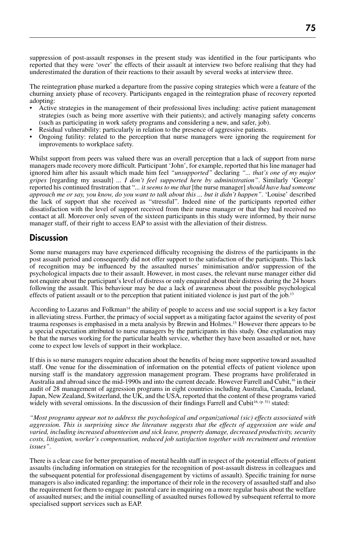suppression of post-assault responses in the present study was identified in the four participants who reported that they were 'over' the effects of their assault at interview two before realising that they had underestimated the duration of their reactions to their assault by several weeks at interview three.

The reintegration phase marked a departure from the passive coping strategies which were a feature of the churning anxiety phase of recovery. Participants engaged in the reintegration phase of recovery reported adopting:

- Active strategies in the management of their professional lives including: active patient management strategies (such as being more assertive with their patients); and actively managing safety concerns (such as participating in work safety programs and considering a new, and safer, job).
- Residual vulnerability: particularly in relation to the presence of aggressive patients.
- Ongoing futility: related to the perception that nurse managers were ignoring the requirement for improvements to workplace safety.

Whilst support from peers was valued there was an overall perception that a lack of support from nurse managers made recovery more difficult. Participant 'John', for example, reported that his line manager had ignored him after his assault which made him feel *"unsupported"* declaring *"... that's one of my major gripes* [regarding my assault] *... I don't feel supported here by administration"*. Similarly 'George' reported his continued frustration that "*... it seems to me that* [the nurse manager] *should have had someone approach me or say, you know, do you want to talk about this ... but it didn't happen"*. 'Louise' described the lack of support that she received as "stressful". Indeed nine of the participants reported either dissatisfaction with the level of support received from their nurse manager or that they had received no contact at all. Moreover only seven of the sixteen participants in this study were informed, by their nurse manager staff, of their right to access EAP to assist with the alleviation of their distress.

#### **Discussion**

Some nurse managers may have experienced difficulty recognising the distress of the participants in the post assault period and consequently did not offer support to the satisfaction of the participants. This lack of recognition may be influenced by the assaulted nurses' minimisation and/or suppression of the psychological impacts due to their assault. However, in most cases, the relevant nurse manager either did not enquire about the participant's level of distress or only enquired about their distress during the 24 hours following the assault. This behaviour may be due a lack of awareness about the possible psychological effects of patient assault or to the perception that patient initiated violence is just part of the job.<sup>13</sup>

According to Lazarus and Folkman14 the ability of people to access and use social support is a key factor in alleviating stress. Further, the primacy of social support as a mitigating factor against the severity of post trauma responses is emphasised in a meta analysis by Brewin and Holmes.15 However there appears to be a special expectation attributed to nurse managers by the participants in this study. One explanation may be that the nurses working for the particular health service, whether they have been assaulted or not, have come to expect low levels of support in their workplace.

If this is so nurse managers require education about the benefits of being more supportive toward assaulted staff. One venue for the dissemination of information on the potential effects of patient violence upon nursing staff is the mandatory aggression management program. These programs have proliferated in Australia and abroad since the mid-1990s and into the current decade. However Farrell and Cubit,<sup>16</sup> in their audit of 28 management of aggression programs in eight countries including Australia, Canada, Ireland, Japan, New Zealand, Switzerland, the UK, and the USA, reported that the content of these programs varied widely with several omissions. In the discussion of their findings Farrell and Cubit<sup>16, (p. 51)</sup> stated:

*"Most programs appear not to address the psychological and organizational (sic) effects associated with aggression. This is surprising since the literature suggests that the effects of aggression are wide and varied, including increased absenteeism and sick leave, property damage, decreased productivity, security costs, litigation, worker's compensation, reduced job satisfaction together with recruitment and retention issues".*

There is a clear case for better preparation of mental health staff in respect of the potential effects of patient assaults (including information on strategies for the recognition of post-assault distress in colleagues and the subsequent potential for professional disengagement by victims of assault). Specific training for nurse managers is also indicated regarding: the importance of their role in the recovery of assaulted staff and also the requirement for them to engage in: pastoral care in enquiring on a more regular basis about the welfare of assaulted nurses; and the initial counselling of assaulted nurses followed by subsequent referral to more specialised support services such as EAP.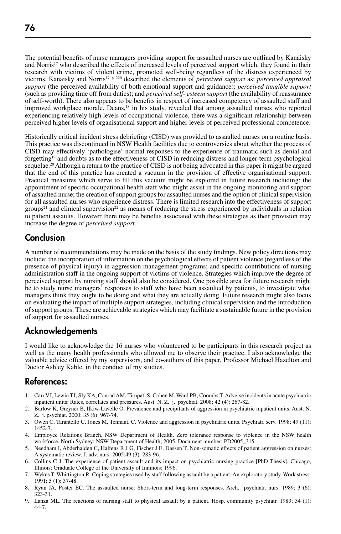The potential benefits of nurse managers providing support for assaulted nurses are outlined by Kanaisky and Norris<sup>17</sup> who described the effects of increased levels of perceived support which, they found in their research with victims of violent crime, promoted well-being regardless of the distress experienced by victims. Kanaisky and Norris17, p. 220 described the elements of *perceived support* as: *perceived appraisal support* (the perceived availability of both emotional support and guidance); *perceived tangible support*  (such as providing time off from duties); and *perceived self- esteem support* (the availability of reassurance of self-worth). There also appears to be benefits in respect of increased competency of assaulted staff and improved workplace morale. Deans,<sup>18</sup> in his study, revealed that among assaulted nurses who reported experiencing relatively high levels of occupational violence, there was a significant relationship between perceived higher levels of organisational support and higher levels of perceived professional competence.

Historically critical incident stress debriefing (CISD) was provided to assaulted nurses on a routine basis. This practice was discontinued in NSW Health facilities due to controversies about whether the process of CISD may effectively 'pathologise' normal responses to the experience of traumatic such as denial and forgetting19 and doubts as to the effectiveness of CISD in reducing distress and longer-term psychological sequelae.<sup>20</sup> Although a return to the practice of CISD is not being advocated in this paper it might be argued that the end of this practice has created a vacuum in the provision of effective organisational support. Practical measures which serve to fill this vacuum might be explored in future research including: the appointment of specific occupational health staff who might assist in the ongoing monitoring and support of assaulted nurse; the creation of support groups for assaulted nurses and the option of clinical supervision for all assaulted nurses who experience distress. There is limited research into the effectiveness of support groups<sup>21</sup> and clinical supervision<sup>22</sup> as means of reducing the stress experienced by individuals in relation to patient assaults. However there may be benefits associated with these strategies as their provision may increase the degree of *perceived support*.

# **Conclusion**

A number of recommendations may be made on the basis of the study findings. New policy directions may include: the incorporation of information on the psychological effects of patient violence (regardless of the presence of physical injury) in aggression management programs; and specific contributions of nursing administration staff in the ongoing support of victims of violence. Strategies which improve the degree of perceived support by nursing staff should also be considered. One possible area for future research might be to study nurse managers' responses to staff who have been assaulted by patients, to investigate what managers think they ought to be doing and what they are actually doing. Future research might also focus on evaluating the impact of multiple support strategies, including clinical supervision and the introduction of support groups. These are achievable strategies which may facilitate a sustainable future in the provision of support for assaulted nurses.

# Acknowledgements

I would like to acknowledge the 16 nurses who volunteered to be participants in this research project as well as the many health professionals who allowed me to observe their practice. I also acknowledge the valuable advice offered by my supervisors, and co-authors of this paper, Professor Michael Hazelton and Doctor Ashley Kable, in the conduct of my studies.

### References:

- 1. Carr VJ, Lewin TJ, Sly KA, Conrad AM, Tirupati S, Cohen M, Ward PB, Coombs T. Adverse incidents in acute psychiatric inpatient units: Rates, correlates and pressures. Aust. N. Z. j. psychiat. 2008; 42 (4): 267-82.
- 2. Barlow K, Greyner B, Ilkiw-Lavelle O. Prevalence and precipitants of aggression in psychiatric inpatient units. Aust. N. Z. j. psychiat. 2000; 35 (6): 967-74.
- 3. Owen C, Tarantello C, Jones M, Tennant, C. Violence and aggression in psychiatric units. Psychiatr. serv. 1998; 49 (11): 1452-7.
- 4. Employee Relations Branch, NSW Department of Health. Zero tolerance response to violence in the NSW health workforce. North Sydney: NSW Department of Health; 2005. Document number: PD2005\_315.
- 5. Needham I, Abderhalden C, Halfens R J G, Fischer J E, Dassen T. Non-somatic effects of patient aggression on nurses: A systematic review. J. adv. nurs. 2005;49 (3): 283-96.
- 6. Collins C J. The experience of patient assault and its impact on psychiatric nursing practice [PhD Thesis]. Chicago, Illinois: Graduate College of the University of Inninois; 1996.
- 7. Wykes T, Whittington R. Coping strategies used by staff following assault by a patient: An exploratory study. Work stress. 1991; 5 (1): 37-48.
- 8. Ryan JA, Poster EC. The assaulted nurse: Short-term and long-term responses. Arch. psychiatr. nurs. 1989; 3 (6): 323-31.
- 9. Lanza ML. The reactions of nursing staff to physical assault by a patient. Hosp. community psychiatr. 1983; 34 (1): 44-7.